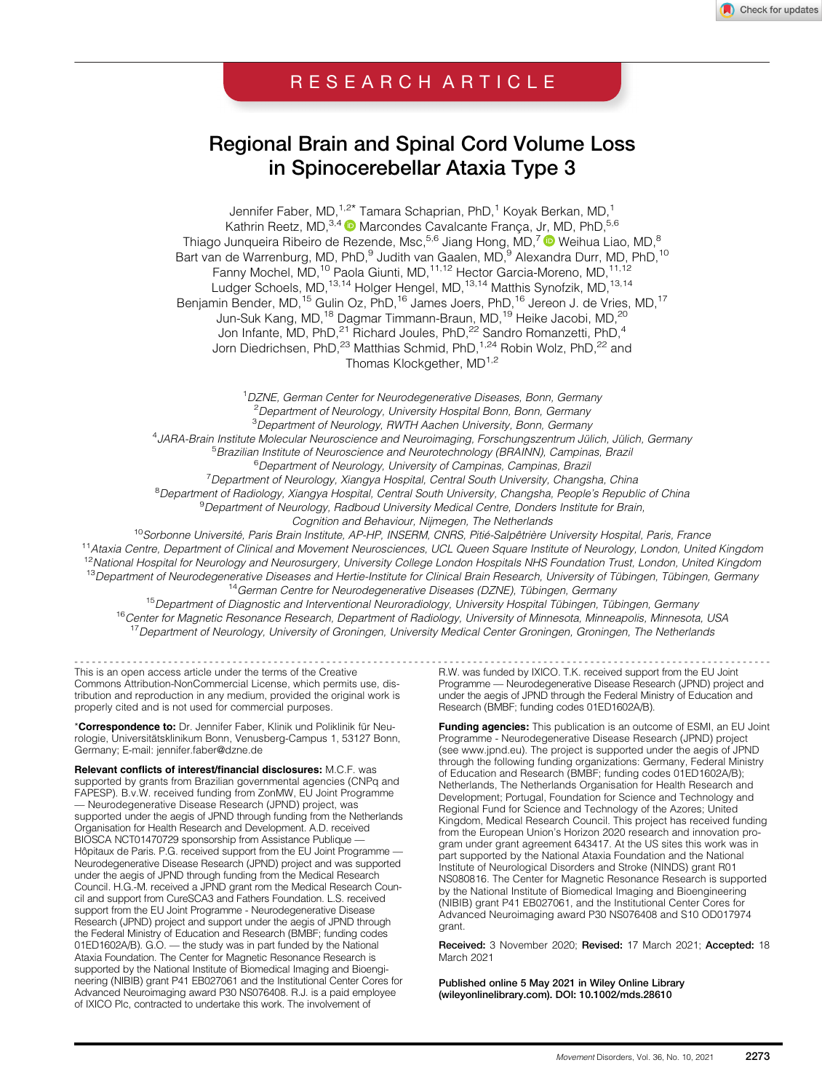# RESEARCH ARTICLE

# Regional Brain and Spinal Cord Volume Loss in Spinocerebellar Ataxia Type 3

Jennifer Faber, MD,<sup>1,2\*</sup> Tamara Schaprian, PhD,<sup>1</sup> Koyak Berkan, MD,<sup>1</sup> Kathrin Reetz, MD,<sup>3,4</sup> <sup>(D</sup> Marcondes Cavalcante França, Jr, MD, PhD,<sup>5,6</sup> Thiago Junqueira Ribeiro de Rezende, Msc,<sup>5,6</sup> Jiang Hong, MD,<sup>7</sup> ® Weihua Liao, MD,<sup>8</sup> Bart van de Warrenburg, MD, PhD,<sup>9</sup> Judith van Gaalen, MD,<sup>9</sup> Alexandra Durr, MD, PhD,<sup>10</sup> Fanny Mochel, MD,<sup>10</sup> Paola Giunti, MD,<sup>11,12</sup> Hector Garcia-Moreno, MD,<sup>11,12</sup> Ludger Schoels, MD,<sup>13,14</sup> Holger Hengel, MD,<sup>13,14</sup> Matthis Synofzik, MD,<sup>13,14</sup> Benjamin Bender, MD,<sup>15</sup> Gulin Oz, PhD,<sup>16</sup> James Joers, PhD,<sup>16</sup> Jereon J. de Vries, MD,<sup>17</sup> Jun-Suk Kang, MD,<sup>18</sup> Dagmar Timmann-Braun, MD,<sup>19</sup> Heike Jacobi, MD,<sup>20</sup> Jon Infante, MD, PhD,<sup>21</sup> Richard Joules, PhD,<sup>22</sup> Sandro Romanzetti, PhD,<sup>4</sup> Jorn Diedrichsen, PhD,<sup>23</sup> Matthias Schmid, PhD,<sup>1,24</sup> Robin Wolz, PhD,<sup>22</sup> and Thomas Klockgether, MD<sup>1,2</sup>

<sup>1</sup>DZNE, German Center for Neurodegenerative Diseases, Bonn, Germany <sup>2</sup> Department of Neurology, University Hospital Bonn, Bonn, Germany <sup>3</sup>Department of Neurology, RWTH Aachen University, Bonn, Germany 4 JARA-Brain Institute Molecular Neuroscience and Neuroimaging, Forschungszentrum Jülich, Jülich, Germany <sup>5</sup> <sup>5</sup> Brazilian Institute of Neuroscience and Neurotechnology (BRAINN), Campinas, Brazil <sup>6</sup>Department of Neurology, University of Campinas, Campinas, Brazil <sup>7</sup> Department of Neurology, Xiangya Hospital, Central South University, Changsha, China <sup>8</sup> Department of Radiology, Xiangya Hospital, Central South University, Changsha, People's Republic of China <sup>9</sup> Department of Neurology, Radboud University Medical Centre, Donders Institute for Brain, Cognition and Behaviour, Nijmegen, The Netherlands <sup>10</sup>Sorbonne Université, Paris Brain Institute, AP-HP, INSERM, CNRS, Pitié-Salpêtrière University Hospital, Paris, France <sup>11</sup> Ataxia Centre, Department of Clinical and Movement Neurosciences, UCL Queen Square Institute of Neurology, London, United Kingdom

<sup>12</sup>National Hospital for Neurology and Neurosurgery, University College London Hospitals NHS Foundation Trust, London, United Kingdom <sup>13</sup>Department of Neurodegenerative Diseases and Hertie-Institute for Clinical Brain Research, University of Tübingen, Tübingen, Germany<br><sup>14</sup>German Centre for Neurodegenerative Diseases (DZNE), Tübingen, Germany

<sup>15</sup>Department of Diagnostic and Interventional Neuroradiology, University Hospital Tübingen, Tübingen, Germany <sup>16</sup>Center for Magnetic Resonance Research, Department of Radiology, University of Minnesota, Minneapolis, Minnesota, USA <sup>17</sup> Department of Neurology, University of Groningen, University Medical Center Groningen, Groningen, The Netherlands

This is an open access article under the terms of the [Creative](http://creativecommons.org/licenses/by-nc/4.0/) [Commons Attribution-NonCommercial](http://creativecommons.org/licenses/by-nc/4.0/) License, which permits use, distribution and reproduction in any medium, provided the original work is properly cited and is not used for commercial purposes.

\*Correspondence to: Dr. Jennifer Faber, Klinik und Poliklinik für Neurologie, Universitätsklinikum Bonn, Venusberg-Campus 1, 53127 Bonn, Germany; E-mail: [jennifer.faber@dzne.de](mailto:jennifer.faber@dzne.de)

Relevant conflicts of interest/financial disclosures: M.C.F. was supported by grants from Brazilian governmental agencies (CNPq and FAPESP). B.v.W. received funding from ZonMW, EU Joint Programme — Neurodegenerative Disease Research (JPND) project, was supported under the aegis of JPND through funding from the Netherlands Organisation for Health Research and Development. A.D. received BIOSCA NCT01470729 sponsorship from Assistance Publique -Hôpitaux de Paris. P.G. received support from the EU Joint Programme -Neurodegenerative Disease Research (JPND) project and was supported under the aegis of JPND through funding from the Medical Research Council. H.G.-M. received a JPND grant rom the Medical Research Council and support from CureSCA3 and Fathers Foundation. L.S. received support from the EU Joint Programme - Neurodegenerative Disease Research (JPND) project and support under the aegis of JPND through the Federal Ministry of Education and Research (BMBF; funding codes 01ED1602A/B). G.O. — the study was in part funded by the National Ataxia Foundation. The Center for Magnetic Resonance Research is supported by the National Institute of Biomedical Imaging and Bioengineering (NIBIB) grant P41 EB027061 and the Institutional Center Cores for Advanced Neuroimaging award P30 NS076408. R.J. is a paid employee of IXICO Plc, contracted to undertake this work. The involvement of

----------------------------------------------------------------------------------------------------------------------- R.W. was funded by IXICO. T.K. received support from the EU Joint Programme — Neurodegenerative Disease Research (JPND) project and under the aegis of JPND through the Federal Ministry of Education and Research (BMBF; funding codes 01ED1602A/B).

> Funding agencies: This publication is an outcome of ESMI, an EU Joint Programme - Neurodegenerative Disease Research (JPND) project (see [www.jpnd.eu\)](http://www.jpnd.eu). The project is supported under the aegis of JPND through the following funding organizations: Germany, Federal Ministry of Education and Research (BMBF; funding codes 01ED1602A/B); Netherlands, The Netherlands Organisation for Health Research and Development; Portugal, Foundation for Science and Technology and Regional Fund for Science and Technology of the Azores; United Kingdom, Medical Research Council. This project has received funding from the European Union's Horizon 2020 research and innovation program under grant agreement 643417. At the US sites this work was in part supported by the National Ataxia Foundation and the National Institute of Neurological Disorders and Stroke (NINDS) grant R01 NS080816. The Center for Magnetic Resonance Research is supported by the National Institute of Biomedical Imaging and Bioengineering (NIBIB) grant P41 EB027061, and the Institutional Center Cores for Advanced Neuroimaging award P30 NS076408 and S10 OD017974 grant.

> Received: 3 November 2020; Revised: 17 March 2021; Accepted: 18 March 2021

Published online 5 May 2021 in Wiley Online Library [\(wileyonlinelibrary.com](http://wileyonlinelibrary.com)). DOI: 10.1002/mds.28610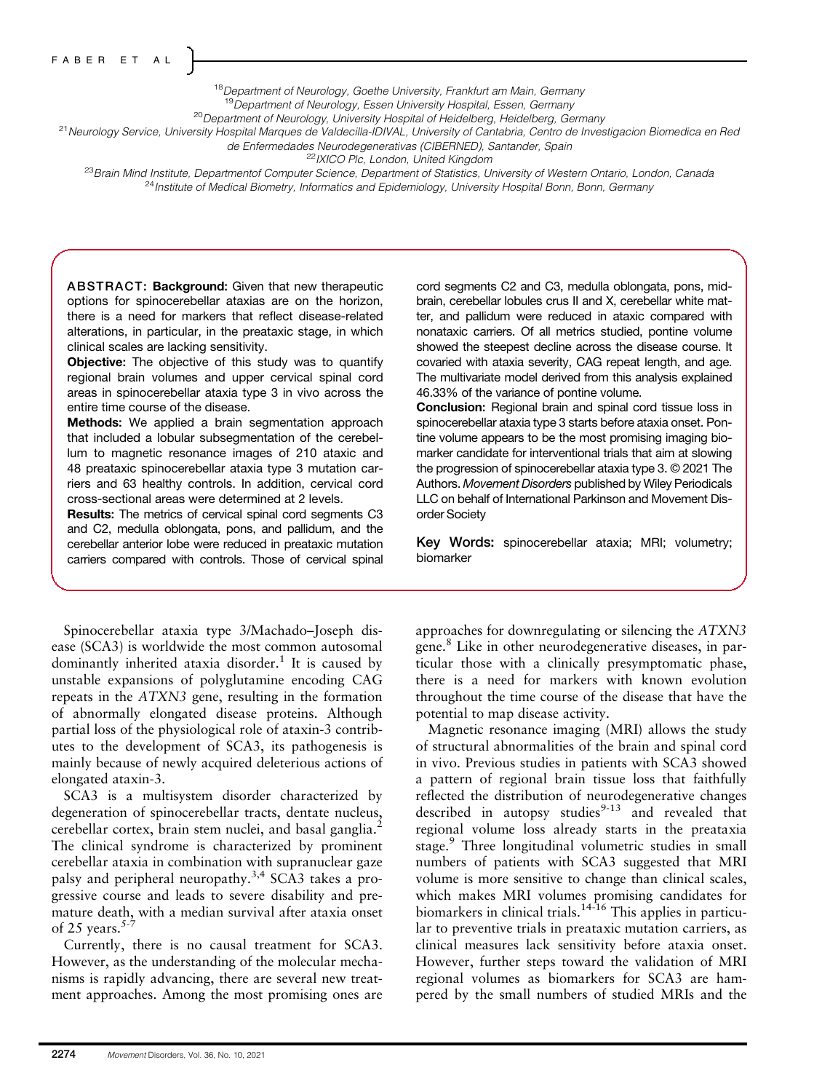<sup>18</sup>Department of Neurology, Goethe University, Frankfurt am Main, Germany

<sup>19</sup>Department of Neurology, Essen University Hospital, Essen, Germany<br><sup>20</sup>Department of Neurology, University Hospital of Heidelberg, Heidelberg, Germany

<sup>21</sup> Neurology Service, University Hospital Marques de Valdecilla-IDIVAL, University of Cantabria, Centro de Investigacion Biomedica en Red

de Enfermedades Neurodegenerativas (CIBERNED), Santander, Spain<br><sup>22</sup>IXICO Plc, London, United Kingdom

<sup>23</sup>Brain Mind Institute, Departmentof Computer Science, Department of Statistics, University of Western Ontario, London, Canada <sup>24</sup> Institute of Medical Biometry, Informatics and Epidemiology, University Hospital Bonn, Bonn, Germany

ABSTRACT: Background: Given that new therapeutic options for spinocerebellar ataxias are on the horizon, there is a need for markers that reflect disease-related alterations, in particular, in the preataxic stage, in which clinical scales are lacking sensitivity.

Objective: The objective of this study was to quantify regional brain volumes and upper cervical spinal cord areas in spinocerebellar ataxia type 3 in vivo across the entire time course of the disease.

Methods: We applied a brain segmentation approach that included a lobular subsegmentation of the cerebellum to magnetic resonance images of 210 ataxic and 48 preataxic spinocerebellar ataxia type 3 mutation carriers and 63 healthy controls. In addition, cervical cord cross-sectional areas were determined at 2 levels.

Results: The metrics of cervical spinal cord segments C3 and C2, medulla oblongata, pons, and pallidum, and the cerebellar anterior lobe were reduced in preataxic mutation carriers compared with controls. Those of cervical spinal

Spinocerebellar ataxia type 3/Machado–Joseph disease (SCA3) is worldwide the most common autosomal dominantly inherited ataxia disorder.<sup>1</sup> It is caused by unstable expansions of polyglutamine encoding CAG repeats in the ATXN3 gene, resulting in the formation of abnormally elongated disease proteins. Although partial loss of the physiological role of ataxin-3 contributes to the development of SCA3, its pathogenesis is mainly because of newly acquired deleterious actions of elongated ataxin-3.

SCA3 is a multisystem disorder characterized by degeneration of spinocerebellar tracts, dentate nucleus, cerebellar cortex, brain stem nuclei, and basal ganglia.<sup>2</sup> The clinical syndrome is characterized by prominent cerebellar ataxia in combination with supranuclear gaze palsy and peripheral neuropathy.<sup>3,4</sup> SCA3 takes a progressive course and leads to severe disability and premature death, with a median survival after ataxia onset of 25 years. $5-7$ 

Currently, there is no causal treatment for SCA3. However, as the understanding of the molecular mechanisms is rapidly advancing, there are several new treatment approaches. Among the most promising ones are cord segments C2 and C3, medulla oblongata, pons, midbrain, cerebellar lobules crus II and X, cerebellar white matter, and pallidum were reduced in ataxic compared with nonataxic carriers. Of all metrics studied, pontine volume showed the steepest decline across the disease course. It covaried with ataxia severity, CAG repeat length, and age. The multivariate model derived from this analysis explained 46.33% of the variance of pontine volume.

Conclusion: Regional brain and spinal cord tissue loss in spinocerebellar ataxia type 3 starts before ataxia onset. Pontine volume appears to be the most promising imaging biomarker candidate for interventional trials that aim at slowing the progression of spinocerebellar ataxia type 3. © 2021 The Authors. Movement Disorders published by Wiley Periodicals LLC on behalf of International Parkinson and Movement Disorder Society

Key Words: spinocerebellar ataxia; MRI; volumetry; biomarker

approaches for downregulating or silencing the ATXN3 gene.<sup>8</sup> Like in other neurodegenerative diseases, in particular those with a clinically presymptomatic phase, there is a need for markers with known evolution throughout the time course of the disease that have the potential to map disease activity.

Magnetic resonance imaging (MRI) allows the study of structural abnormalities of the brain and spinal cord in vivo. Previous studies in patients with SCA3 showed a pattern of regional brain tissue loss that faithfully reflected the distribution of neurodegenerative changes described in autopsy studies $9-13$  and revealed that regional volume loss already starts in the preataxia stage.<sup>9</sup> Three longitudinal volumetric studies in small numbers of patients with SCA3 suggested that MRI volume is more sensitive to change than clinical scales, which makes MRI volumes promising candidates for biomarkers in clinical trials.<sup>14-16</sup> This applies in particular to preventive trials in preataxic mutation carriers, as clinical measures lack sensitivity before ataxia onset. However, further steps toward the validation of MRI regional volumes as biomarkers for SCA3 are hampered by the small numbers of studied MRIs and the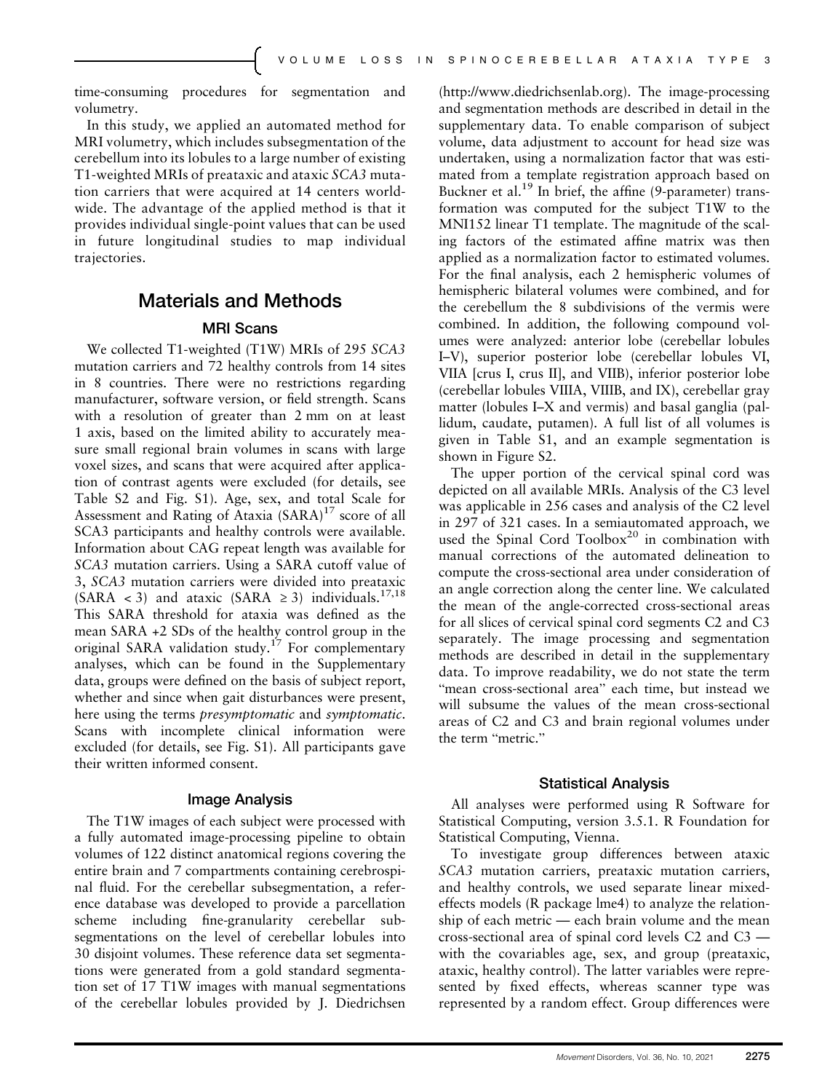time-consuming procedures for segmentation and volumetry.

In this study, we applied an automated method for MRI volumetry, which includes subsegmentation of the cerebellum into its lobules to a large number of existing T1-weighted MRIs of preataxic and ataxic SCA3 mutation carriers that were acquired at 14 centers worldwide. The advantage of the applied method is that it provides individual single-point values that can be used in future longitudinal studies to map individual trajectories.

## Materials and Methods

### MRI Scans

We collected T1-weighted (T1W) MRIs of 295 SCA3 mutation carriers and 72 healthy controls from 14 sites in 8 countries. There were no restrictions regarding manufacturer, software version, or field strength. Scans with a resolution of greater than 2 mm on at least 1 axis, based on the limited ability to accurately measure small regional brain volumes in scans with large voxel sizes, and scans that were acquired after application of contrast agents were excluded (for details, see Table S2 and Fig. S1). Age, sex, and total Scale for Assessment and Rating of Ataxia (SARA)<sup>17</sup> score of all SCA3 participants and healthy controls were available. Information about CAG repeat length was available for SCA3 mutation carriers. Using a SARA cutoff value of 3, SCA3 mutation carriers were divided into preataxic (SARA < 3) and ataxic (SARA  $\geq$  3) individuals.<sup>17,18</sup> This SARA threshold for ataxia was defined as the mean SARA +2 SDs of the healthy control group in the original SARA validation study.<sup>17</sup> For complementary analyses, which can be found in the Supplementary data, groups were defined on the basis of subject report, whether and since when gait disturbances were present, here using the terms presymptomatic and symptomatic. Scans with incomplete clinical information were excluded (for details, see Fig. S1). All participants gave their written informed consent.

#### Image Analysis

The T1W images of each subject were processed with a fully automated image-processing pipeline to obtain volumes of 122 distinct anatomical regions covering the entire brain and 7 compartments containing cerebrospinal fluid. For the cerebellar subsegmentation, a reference database was developed to provide a parcellation scheme including fine-granularity cerebellar subsegmentations on the level of cerebellar lobules into 30 disjoint volumes. These reference data set segmentations were generated from a gold standard segmentation set of 17 T1W images with manual segmentations of the cerebellar lobules provided by J. Diedrichsen [\(http://www.diedrichsenlab.org](http://www.diedrichsenlab.org)). The image-processing and segmentation methods are described in detail in the supplementary data. To enable comparison of subject volume, data adjustment to account for head size was undertaken, using a normalization factor that was estimated from a template registration approach based on Buckner et al.<sup>19</sup> In brief, the affine (9-parameter) transformation was computed for the subject T1W to the MNI152 linear T1 template. The magnitude of the scaling factors of the estimated affine matrix was then applied as a normalization factor to estimated volumes. For the final analysis, each 2 hemispheric volumes of hemispheric bilateral volumes were combined, and for the cerebellum the 8 subdivisions of the vermis were combined. In addition, the following compound volumes were analyzed: anterior lobe (cerebellar lobules I–V), superior posterior lobe (cerebellar lobules VI, VIIA [crus I, crus II], and VIIB), inferior posterior lobe (cerebellar lobules VIIIA, VIIIB, and IX), cerebellar gray matter (lobules I–X and vermis) and basal ganglia (pallidum, caudate, putamen). A full list of all volumes is given in Table S1, and an example segmentation is shown in Figure S2.

The upper portion of the cervical spinal cord was depicted on all available MRIs. Analysis of the C3 level was applicable in 256 cases and analysis of the C2 level in 297 of 321 cases. In a semiautomated approach, we used the Spinal Cord Toolbox $20$  in combination with manual corrections of the automated delineation to compute the cross-sectional area under consideration of an angle correction along the center line. We calculated the mean of the angle-corrected cross-sectional areas for all slices of cervical spinal cord segments C2 and C3 separately. The image processing and segmentation methods are described in detail in the supplementary data. To improve readability, we do not state the term "mean cross-sectional area" each time, but instead we will subsume the values of the mean cross-sectional areas of C2 and C3 and brain regional volumes under the term "metric."

#### Statistical Analysis

All analyses were performed using R Software for Statistical Computing, version 3.5.1. R Foundation for Statistical Computing, Vienna.

To investigate group differences between ataxic SCA3 mutation carriers, preataxic mutation carriers, and healthy controls, we used separate linear mixedeffects models (R package lme4) to analyze the relationship of each metric — each brain volume and the mean cross-sectional area of spinal cord levels C2 and C3 with the covariables age, sex, and group (preataxic, ataxic, healthy control). The latter variables were represented by fixed effects, whereas scanner type was represented by a random effect. Group differences were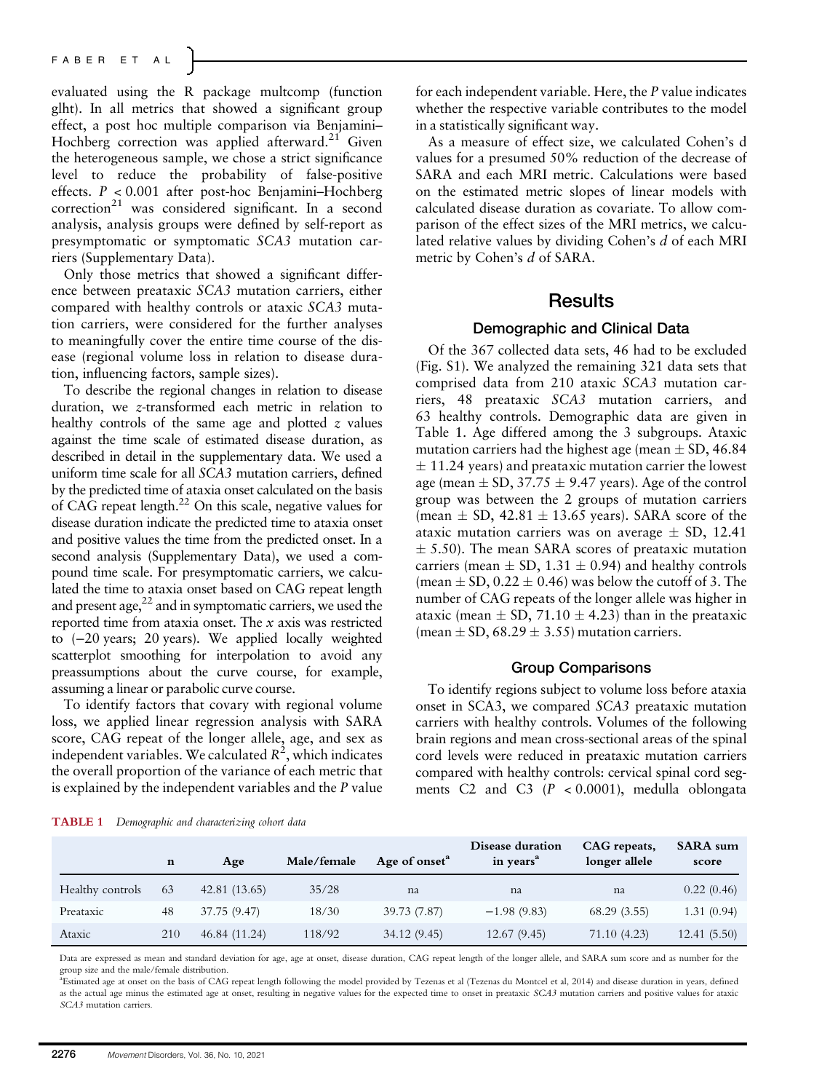evaluated using the R package multcomp (function glht). In all metrics that showed a significant group effect, a post hoc multiple comparison via Benjamini– Hochberg correction was applied afterward.<sup>21</sup> Given the heterogeneous sample, we chose a strict significance level to reduce the probability of false-positive effects. P < 0.001 after post-hoc Benjamini–Hochberg  $correction<sup>21</sup>$  was considered significant. In a second analysis, analysis groups were defined by self-report as presymptomatic or symptomatic SCA3 mutation carriers (Supplementary Data).

Only those metrics that showed a significant difference between preataxic SCA3 mutation carriers, either compared with healthy controls or ataxic SCA3 mutation carriers, were considered for the further analyses to meaningfully cover the entire time course of the disease (regional volume loss in relation to disease duration, influencing factors, sample sizes).

To describe the regional changes in relation to disease duration, we z-transformed each metric in relation to healthy controls of the same age and plotted  $z$  values against the time scale of estimated disease duration, as described in detail in the supplementary data. We used a uniform time scale for all SCA3 mutation carriers, defined by the predicted time of ataxia onset calculated on the basis of CAG repeat length.22 On this scale, negative values for disease duration indicate the predicted time to ataxia onset and positive values the time from the predicted onset. In a second analysis (Supplementary Data), we used a compound time scale. For presymptomatic carriers, we calculated the time to ataxia onset based on CAG repeat length and present age, $2^2$  and in symptomatic carriers, we used the reported time from ataxia onset. The x axis was restricted to (−20 years; 20 years). We applied locally weighted scatterplot smoothing for interpolation to avoid any preassumptions about the curve course, for example, assuming a linear or parabolic curve course.

To identify factors that covary with regional volume loss, we applied linear regression analysis with SARA score, CAG repeat of the longer allele, age, and sex as independent variables. We calculated  $R^2$ , which indicates the overall proportion of the variance of each metric that is explained by the independent variables and the P value

for each independent variable. Here, the P value indicates whether the respective variable contributes to the model in a statistically significant way.

As a measure of effect size, we calculated Cohen's d values for a presumed 50% reduction of the decrease of SARA and each MRI metric. Calculations were based on the estimated metric slopes of linear models with calculated disease duration as covariate. To allow comparison of the effect sizes of the MRI metrics, we calculated relative values by dividing Cohen's d of each MRI metric by Cohen's d of SARA.

## **Results**

### Demographic and Clinical Data

Of the 367 collected data sets, 46 had to be excluded (Fig. S1). We analyzed the remaining 321 data sets that comprised data from 210 ataxic SCA3 mutation carriers, 48 preataxic SCA3 mutation carriers, and 63 healthy controls. Demographic data are given in Table 1. Age differed among the 3 subgroups. Ataxic mutation carriers had the highest age (mean  $\pm$  SD, 46.84  $\pm$  11.24 years) and preataxic mutation carrier the lowest age (mean  $\pm$  SD, 37.75  $\pm$  9.47 years). Age of the control group was between the 2 groups of mutation carriers (mean  $\pm$  SD, 42.81  $\pm$  13.65 years). SARA score of the ataxic mutation carriers was on average  $\pm$  SD, 12.41  $\pm$  5.50). The mean SARA scores of preataxic mutation carriers (mean  $\pm$  SD, 1.31  $\pm$  0.94) and healthy controls (mean  $\pm$  SD, 0.22  $\pm$  0.46) was below the cutoff of 3. The number of CAG repeats of the longer allele was higher in ataxic (mean  $\pm$  SD, 71.10  $\pm$  4.23) than in the preataxic (mean  $\pm$  SD, 68.29  $\pm$  3.55) mutation carriers.

### Group Comparisons

To identify regions subject to volume loss before ataxia onset in SCA3, we compared SCA3 preataxic mutation carriers with healthy controls. Volumes of the following brain regions and mean cross-sectional areas of the spinal cord levels were reduced in preataxic mutation carriers compared with healthy controls: cervical spinal cord segments C2 and C3  $(P < 0.0001)$ , medulla oblongata

|                  | n   | Age           | Male/female | Age of onset <sup>a</sup> | Disease duration<br>in years <sup>a</sup> | CAG repeats,<br>longer allele | <b>SARA</b> sum<br>score |
|------------------|-----|---------------|-------------|---------------------------|-------------------------------------------|-------------------------------|--------------------------|
| Healthy controls | 63  | 42.81(13.65)  | 35/28       | na                        | na                                        | na                            | 0.22(0.46)               |
| Preataxic        | 48  | 37.75 (9.47)  | 18/30       | 39.73 (7.87)              | $-1.98(9.83)$                             | 68.29(3.55)                   | 1.31(0.94)               |
| Ataxic           | 210 | 46.84 (11.24) | 118/92      | 34.12(9.45)               | 12.67(9.45)                               | 71.10 (4.23)                  | 12.41(5.50)              |

Data are expressed as mean and standard deviation for age, age at onset, disease duration, CAG repeat length of the longer allele, and SARA sum score and as number for the group size and the male/female distribution.

<sup>a</sup> Estimated age at onset on the basis of CAG repeat length following the model provided by Tezenas et al (Tezenas du Montcel et al, 2014) and disease duration in years, defined as the actual age minus the estimated age at onset, resulting in negative values for the expected time to onset in preataxic SCA3 mutation carriers and positive values for ataxic SCA3 mutation carriers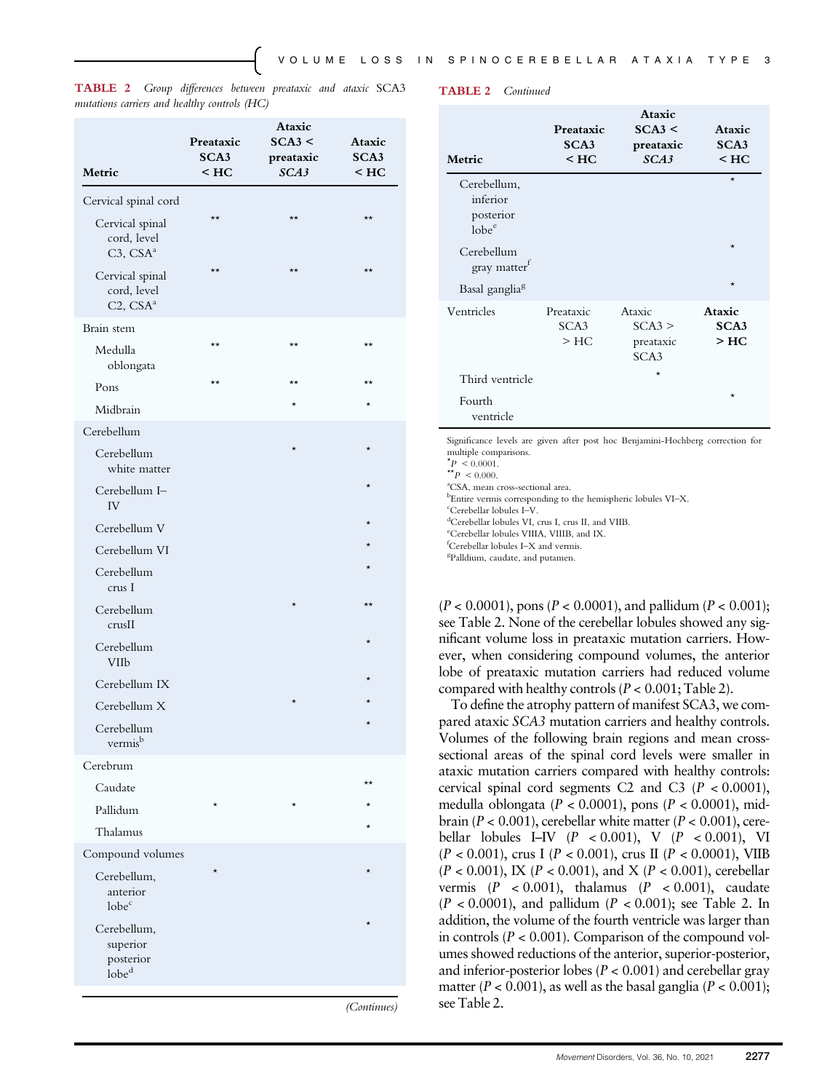TABLE 2 Group differences between preataxic and ataxic SCA3 mutations carriers and healthy controls (HC)

| Metric                                                    | Preataxic<br>SCA3<br>$<$ HC | <b>Ataxic</b><br>SCA3 <<br>preataxic<br>SCA3 | Ataxic<br>SCA3<br>$<$ HC |
|-----------------------------------------------------------|-----------------------------|----------------------------------------------|--------------------------|
| Cervical spinal cord                                      |                             |                                              |                          |
| Cervical spinal<br>cord, level<br>$C3$ , $CSAa$           | $\star\star$                | $\star\star$                                 | $\star\star$             |
| Cervical spinal<br>cord, level<br>C2, CSA <sup>a</sup>    | $\star\star$                | $\star\star$                                 | $\star\star$             |
| Brain stem                                                |                             |                                              |                          |
| Medulla<br>oblongata                                      | **                          | $\star\star$                                 | $\star\star$             |
| Pons                                                      | $\star\star$                | $\star\star$                                 | $\star\star$             |
| Midbrain                                                  |                             | $\star$                                      | $\star$                  |
| Cerebellum                                                |                             |                                              |                          |
| Cerebellum<br>white matter                                |                             |                                              | $\star$                  |
| Cerebellum I-<br>IV                                       |                             |                                              |                          |
| Cerebellum V                                              |                             |                                              |                          |
| Cerebellum VI                                             |                             |                                              | $\star$                  |
| Cerebellum<br>crus I                                      |                             |                                              | $\star$                  |
| Cerebellum<br>crusII                                      |                             | $\star$                                      | $\star\star$             |
| Cerebellum<br><b>VIIb</b>                                 |                             |                                              | $\star$                  |
| Cerebellum IX                                             |                             |                                              | $\star$                  |
| Cerebellum X                                              |                             | *                                            |                          |
| Cerebellum<br>vermis <sup>b</sup>                         |                             |                                              |                          |
| Cerebrum                                                  |                             |                                              |                          |
| Caudate                                                   |                             |                                              | **                       |
| Pallidum                                                  |                             |                                              |                          |
| Thalamus                                                  |                             |                                              |                          |
| Compound volumes                                          |                             |                                              |                          |
| Cerebellum,<br>anterior<br>lobe <sup>c</sup>              |                             |                                              |                          |
| Cerebellum,<br>superior<br>posterior<br>lobe <sup>d</sup> |                             |                                              |                          |
|                                                           |                             |                                              |                          |

(Continues)

TABLE 2 Continued

| Metric                                                    | Preataxic<br>SCA3<br>$<$ HC | Ataxic<br>SCA3 <<br>preataxic<br>SCA3             | Ataxic<br>SCA3<br>$<$ HC |
|-----------------------------------------------------------|-----------------------------|---------------------------------------------------|--------------------------|
| Cerebellum,<br>inferior<br>posterior<br>lobe <sup>e</sup> |                             |                                                   | $\star$                  |
| Cerebellum<br>gray matter <sup>f</sup>                    |                             |                                                   | $\star$                  |
| Basal ganglia <sup>g</sup>                                |                             |                                                   | $\star$                  |
| Ventricles                                                | Preataxic<br>SCA3<br>$>$ HC | Ataxic<br>SCA3 ><br>preataxic<br>SCA <sub>3</sub> | Ataxic<br>SCA3<br>$>$ HC |
| Third ventricle                                           |                             | $\star$                                           |                          |
| Fourth<br>ventricle                                       |                             |                                                   | $\star$                  |

Significance levels are given after post hoc Benjamini-Hochberg correction for multiple comparisons.

 $p \leq 0.0001$ .

 $*$   $*$   $P$  < 0.000.

<sup>a</sup>CSA, mean cross-sectional area

 $b^{\text{b}}$ Entire vermis corresponding to the hemispheric lobules VI–X.

 $\epsilon$ Cerebellar lobules I–V.

<sup>d</sup>Cerebellar lobules VI, crus I, crus II, and VIIB

e Cerebellar lobules VIIIA, VIIIB, and IX.

 ${}^{\text{f}}$ Cerebellar lobules I–X and vermis.

Palldium, caudate, and putamen.

 $(P < 0.0001)$ , pons  $(P < 0.0001)$ , and pallidum  $(P < 0.001)$ ; see Table 2. None of the cerebellar lobules showed any significant volume loss in preataxic mutation carriers. However, when considering compound volumes, the anterior lobe of preataxic mutation carriers had reduced volume compared with healthy controls ( $P < 0.001$ ; Table 2).

To define the atrophy pattern of manifest SCA3, we compared ataxic SCA3 mutation carriers and healthy controls. Volumes of the following brain regions and mean crosssectional areas of the spinal cord levels were smaller in ataxic mutation carriers compared with healthy controls: cervical spinal cord segments C2 and C3  $(P < 0.0001)$ , medulla oblongata ( $P < 0.0001$ ), pons ( $P < 0.0001$ ), midbrain ( $P < 0.001$ ), cerebellar white matter ( $P < 0.001$ ), cerebellar lobules I–IV  $(P < 0.001)$ , V  $(P < 0.001)$ , VI  $(P < 0.001)$ , crus I  $(P < 0.001)$ , crus II  $(P < 0.0001)$ , VIIB  $(P < 0.001)$ , IX  $(P < 0.001)$ , and X  $(P < 0.001)$ , cerebellar vermis  $(P < 0.001)$ , thalamus  $(P < 0.001)$ , caudate  $(P < 0.0001)$ , and pallidum  $(P < 0.001)$ ; see Table 2. In addition, the volume of the fourth ventricle was larger than in controls ( $P < 0.001$ ). Comparison of the compound volumes showed reductions of the anterior, superior-posterior, and inferior-posterior lobes ( $P < 0.001$ ) and cerebellar gray matter ( $P < 0.001$ ), as well as the basal ganglia ( $P < 0.001$ ); see Table 2.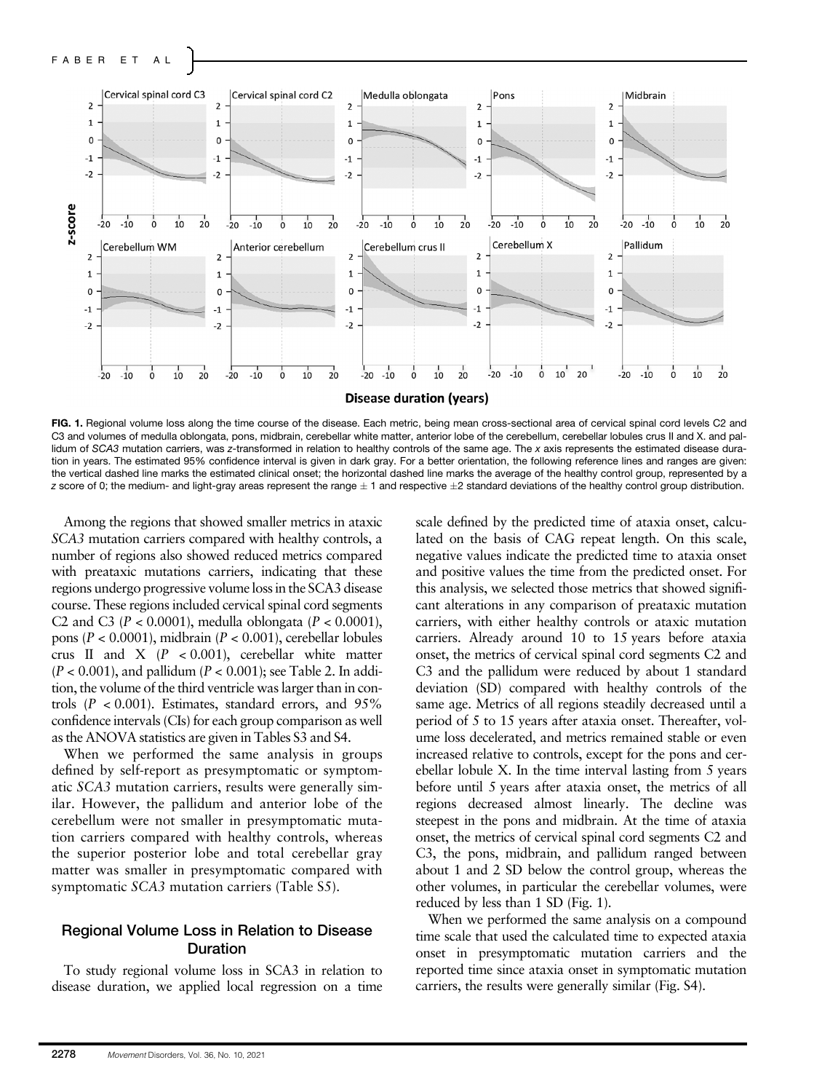

FIG. 1. Regional volume loss along the time course of the disease. Each metric, being mean cross-sectional area of cervical spinal cord levels C2 and C3 and volumes of medulla oblongata, pons, midbrain, cerebellar white matter, anterior lobe of the cerebellum, cerebellar lobules crus II and X. and pallidum of SCA3 mutation carriers, was z-transformed in relation to healthy controls of the same age. The x axis represents the estimated disease duration in years. The estimated 95% confidence interval is given in dark gray. For a better orientation, the following reference lines and ranges are given: the vertical dashed line marks the estimated clinical onset; the horizontal dashed line marks the average of the healthy control group, represented by a  $z$  score of 0; the medium- and light-gray areas represent the range  $\pm$  1 and respective  $\pm$ 2 standard deviations of the healthy control group distribution.

Among the regions that showed smaller metrics in ataxic SCA3 mutation carriers compared with healthy controls, a number of regions also showed reduced metrics compared with preataxic mutations carriers, indicating that these regions undergo progressive volume loss in the SCA3 disease course. These regions included cervical spinal cord segments C2 and C3 ( $P < 0.0001$ ), medulla oblongata ( $P < 0.0001$ ), pons ( $P < 0.0001$ ), midbrain ( $P < 0.001$ ), cerebellar lobules crus II and X  $(P < 0.001)$ , cerebellar white matter  $(P < 0.001)$ , and pallidum  $(P < 0.001)$ ; see Table 2. In addition, the volume of the third ventricle was larger than in controls  $(P < 0.001)$ . Estimates, standard errors, and 95% confidence intervals (CIs) for each group comparison as well as the ANOVA statistics are given in Tables S3 and S4.

When we performed the same analysis in groups defined by self-report as presymptomatic or symptomatic SCA3 mutation carriers, results were generally similar. However, the pallidum and anterior lobe of the cerebellum were not smaller in presymptomatic mutation carriers compared with healthy controls, whereas the superior posterior lobe and total cerebellar gray matter was smaller in presymptomatic compared with symptomatic SCA3 mutation carriers (Table S5).

## Regional Volume Loss in Relation to Disease Duration

To study regional volume loss in SCA3 in relation to disease duration, we applied local regression on a time

scale defined by the predicted time of ataxia onset, calculated on the basis of CAG repeat length. On this scale, negative values indicate the predicted time to ataxia onset and positive values the time from the predicted onset. For this analysis, we selected those metrics that showed significant alterations in any comparison of preataxic mutation carriers, with either healthy controls or ataxic mutation carriers. Already around 10 to 15 years before ataxia onset, the metrics of cervical spinal cord segments C2 and C3 and the pallidum were reduced by about 1 standard deviation (SD) compared with healthy controls of the same age. Metrics of all regions steadily decreased until a period of 5 to 15 years after ataxia onset. Thereafter, volume loss decelerated, and metrics remained stable or even increased relative to controls, except for the pons and cerebellar lobule X. In the time interval lasting from 5 years before until 5 years after ataxia onset, the metrics of all regions decreased almost linearly. The decline was steepest in the pons and midbrain. At the time of ataxia onset, the metrics of cervical spinal cord segments C2 and C3, the pons, midbrain, and pallidum ranged between about 1 and 2 SD below the control group, whereas the other volumes, in particular the cerebellar volumes, were reduced by less than 1 SD (Fig. 1).

When we performed the same analysis on a compound time scale that used the calculated time to expected ataxia onset in presymptomatic mutation carriers and the reported time since ataxia onset in symptomatic mutation carriers, the results were generally similar (Fig. S4).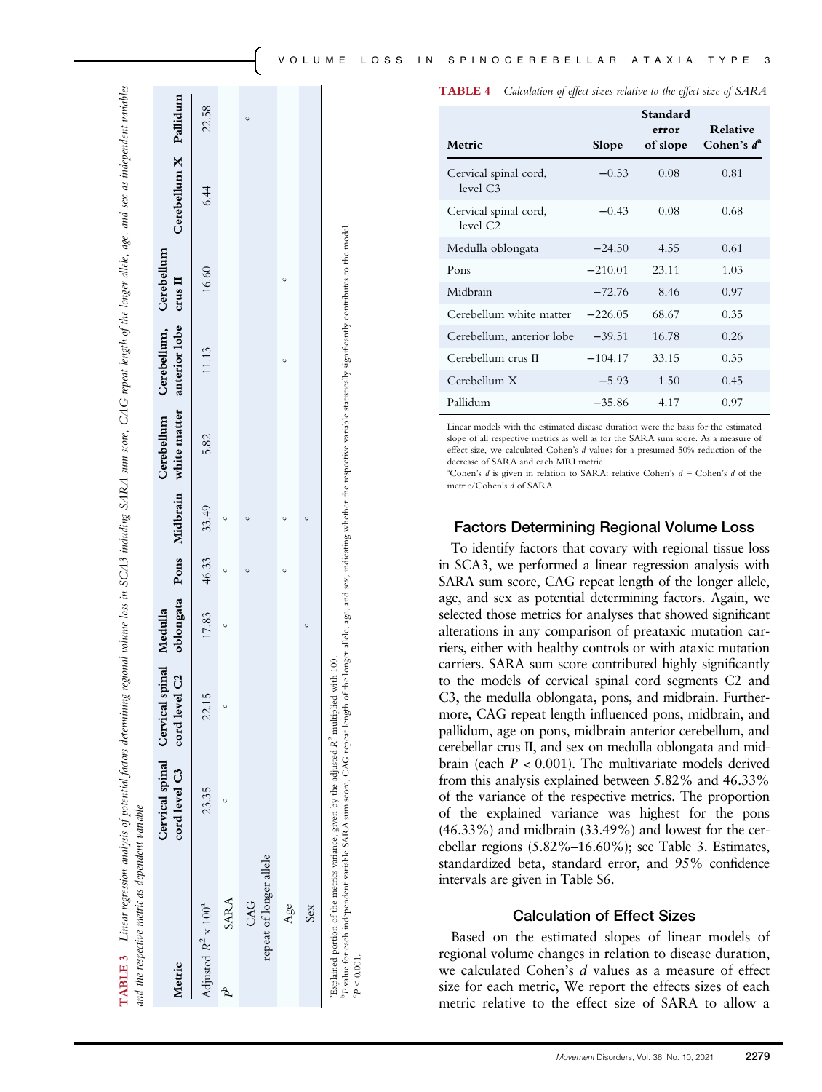| <b>TABLE 4</b> | Calculation of effect sizes relative to the effect size of SARA |  |  |  |  |  |  |  |  |  |
|----------------|-----------------------------------------------------------------|--|--|--|--|--|--|--|--|--|
|----------------|-----------------------------------------------------------------|--|--|--|--|--|--|--|--|--|

|                                               |           | Standard<br>error | <b>Relative</b> |
|-----------------------------------------------|-----------|-------------------|-----------------|
| Metric                                        | Slope     | of slope          | Cohen's $d^a$   |
| Cervical spinal cord,<br>level $C3$           | $-0.53$   | 0.08              | 0.81            |
| Cervical spinal cord,<br>level C <sub>2</sub> | $-0.43$   | 0.08              | 0.68            |
| Medulla oblongata                             | $-24.50$  | 4.55              | 0.61            |
| Pons                                          | $-210.01$ | 23.11             | 1.03            |
| Midbrain                                      | $-72.76$  | 8.46              | 0.97            |
| Cerebellum white matter                       | $-226.05$ | 68.67             | 0.35            |
| Cerebellum, anterior lobe                     | $-39.51$  | 16.78             | 0.26            |
| Cerebellum crus II                            | $-104.17$ | 33.15             | 0.35            |
| Cerebellum X                                  | $-5.93$   | 1.50              | 0.45            |
| Pallidum                                      | $-35.86$  | 4.17              | 0.97            |

Linear models with the estimated disease duration were the basis for the estimated slope of all respective metrics as well as for the SARA sum score. As a measure of effect size, we calculated Cohen's d values for a presumed 50% reduction of the decrease of SARA and each MRI metric.

<sup>a</sup>Cohen's *d* is given in relation to SARA: relative Cohen's  $d =$  Cohen's *d* of the metric/Cohen's d of SARA.

### Factors Determining Regional Volume Loss

To identify factors that covary with regional tissue loss in SCA3, we performed a linear regression analysis with SARA sum score, CAG repeat length of the longer allele, age, and sex as potential determining factors. Again, we selected those metrics for analyses that showed significant alterations in any comparison of preataxic mutation carriers, either with healthy controls or with ataxic mutation carriers. SARA sum score contributed highly significantly to the models of cervical spinal cord segments C2 and C3, the medulla oblongata, pons, and midbrain. Furthermore, CAG repeat length influenced pons, midbrain, and pallidum, age on pons, midbrain anterior cerebellum, and cerebellar crus II, and sex on medulla oblongata and midbrain (each  $P < 0.001$ ). The multivariate models derived from this analysis explained between 5.82% and 46.33% of the variance of the respective metrics. The proportion of the explained variance was highest for the pons (46.33%) and midbrain (33.49%) and lowest for the cerebellar regions (5.82%–16.60%); see Table 3. Estimates, standardized beta, standard error, and 95% confidence intervals are given in Table S6.

### Calculation of Effect Sizes

Based on the estimated slopes of linear models of regional volume changes in relation to disease duration, we calculated Cohen's d values as a measure of effect size for each metric, We report the effects sizes of each metric relative to the effect size of SARA to allow a

Linear regression analysis of potential factors determining regional volume loss in SCA3 including SARA sum score, CAG repeat length of the longer allele, age, and sex as independent variables Linear regression analysis of potential factors determining regional volume loss in SCA3 including SARA sum score, CAG repeat length of the longer allele, age, and sex as independent variables and the respective metric as dependent variable and the respective metric as dependent variable TABLE 3 TABLE 3

| Metric                                                                                                                                                                                                                                                                                                                    |       | cord level C3 cord level C2 oblongata Pons Midbrain white matter anterior lobe crus II<br>Cervical spinal Cervical spinal Medulla |                     |  |      | Cerebellum Cerebellum, Cerebellum |       | Cerebellum X Pallidum |       |
|---------------------------------------------------------------------------------------------------------------------------------------------------------------------------------------------------------------------------------------------------------------------------------------------------------------------------|-------|-----------------------------------------------------------------------------------------------------------------------------------|---------------------|--|------|-----------------------------------|-------|-----------------------|-------|
| Adjusted $R^2 \times 100^4$                                                                                                                                                                                                                                                                                               | 23.35 | 22.15                                                                                                                             | $17.83$ 46.33 33.49 |  | 5.82 | 11.13                             | 16.60 | 6.44                  | 22.58 |
| <b>SARA</b>                                                                                                                                                                                                                                                                                                               |       |                                                                                                                                   |                     |  |      |                                   |       |                       |       |
| repeat of longer allele<br>CAG                                                                                                                                                                                                                                                                                            |       |                                                                                                                                   |                     |  |      |                                   |       |                       |       |
| Age                                                                                                                                                                                                                                                                                                                       |       |                                                                                                                                   |                     |  |      |                                   |       |                       |       |
| Sex                                                                                                                                                                                                                                                                                                                       |       |                                                                                                                                   |                     |  |      |                                   |       |                       |       |
| <sup>o</sup> P value for each independent variable SARA sum score, CAG repeat length of the longer allele, age, and sex, indicating whether the respective variable statistically significantly contributes to the model.<br>"Explained portion of the metrics variance, given by the adjusted $R^2$ multiplied with 100. |       |                                                                                                                                   |                     |  |      |                                   |       |                       |       |

c P $P < 0.001$ .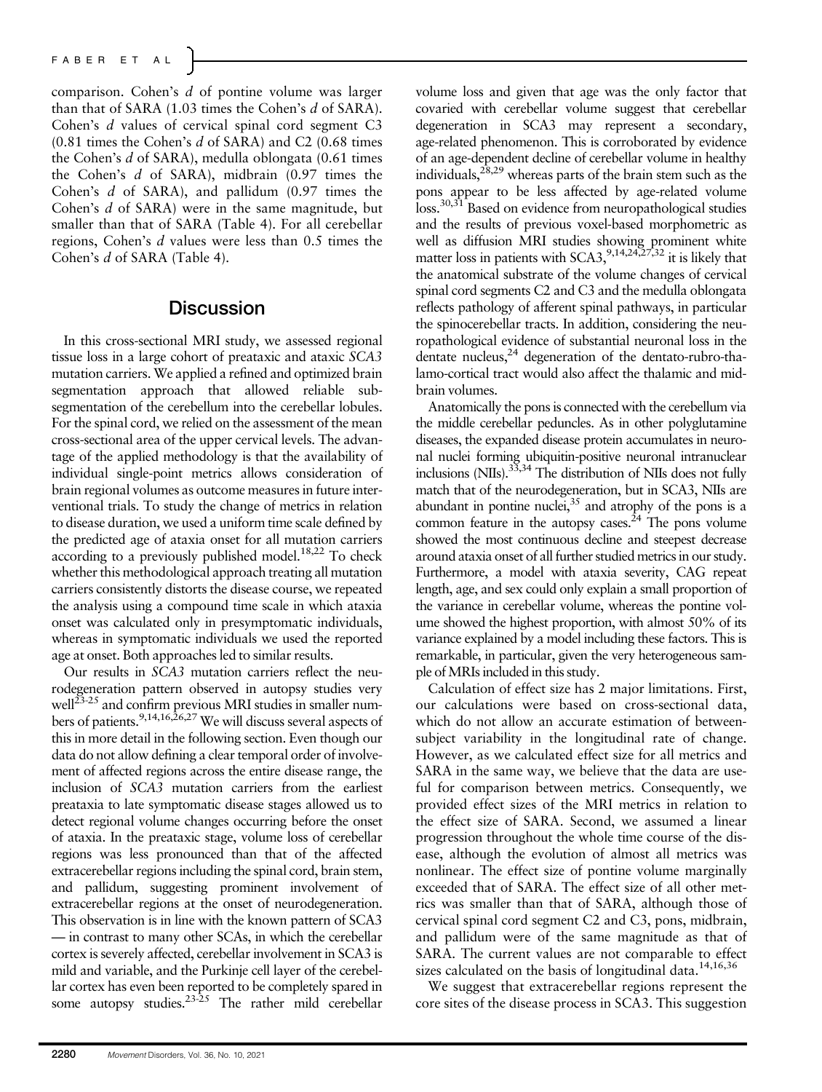## FABER ET AL

comparison. Cohen's d of pontine volume was larger than that of SARA (1.03 times the Cohen's d of SARA). Cohen's d values of cervical spinal cord segment C3  $(0.81$  times the Cohen's d of SARA) and C2  $(0.68$  times the Cohen's d of SARA), medulla oblongata (0.61 times the Cohen's d of SARA), midbrain (0.97 times the Cohen's d of SARA), and pallidum (0.97 times the Cohen's d of SARA) were in the same magnitude, but smaller than that of SARA (Table 4). For all cerebellar regions, Cohen's d values were less than 0.5 times the Cohen's d of SARA (Table 4).

## **Discussion**

In this cross-sectional MRI study, we assessed regional tissue loss in a large cohort of preataxic and ataxic SCA3 mutation carriers. We applied a refined and optimized brain segmentation approach that allowed reliable subsegmentation of the cerebellum into the cerebellar lobules. For the spinal cord, we relied on the assessment of the mean cross-sectional area of the upper cervical levels. The advantage of the applied methodology is that the availability of individual single-point metrics allows consideration of brain regional volumes as outcome measures in future interventional trials. To study the change of metrics in relation to disease duration, we used a uniform time scale defined by the predicted age of ataxia onset for all mutation carriers according to a previously published model.<sup>18,22</sup> To check whether this methodological approach treating all mutation carriers consistently distorts the disease course, we repeated the analysis using a compound time scale in which ataxia onset was calculated only in presymptomatic individuals, whereas in symptomatic individuals we used the reported age at onset. Both approaches led to similar results.

Our results in SCA3 mutation carriers reflect the neurodegeneration pattern observed in autopsy studies very well<sup>23-25</sup> and confirm previous MRI studies in smaller numbers of patients.<sup>9,14,16,26,27</sup> We will discuss several aspects of this in more detail in the following section. Even though our data do not allow defining a clear temporal order of involvement of affected regions across the entire disease range, the inclusion of SCA3 mutation carriers from the earliest preataxia to late symptomatic disease stages allowed us to detect regional volume changes occurring before the onset of ataxia. In the preataxic stage, volume loss of cerebellar regions was less pronounced than that of the affected extracerebellar regions including the spinal cord, brain stem, and pallidum, suggesting prominent involvement of extracerebellar regions at the onset of neurodegeneration. This observation is in line with the known pattern of SCA3 — in contrast to many other SCAs, in which the cerebellar cortex is severely affected, cerebellar involvement in SCA3 is mild and variable, and the Purkinje cell layer of the cerebellar cortex has even been reported to be completely spared in some autopsy studies.<sup>23-25</sup> The rather mild cerebellar

volume loss and given that age was the only factor that covaried with cerebellar volume suggest that cerebellar degeneration in SCA3 may represent a secondary, age-related phenomenon. This is corroborated by evidence of an age-dependent decline of cerebellar volume in healthy individuals,  $28,29$  whereas parts of the brain stem such as the pons appear to be less affected by age-related volume loss.30,31 Based on evidence from neuropathological studies and the results of previous voxel-based morphometric as well as diffusion MRI studies showing prominent white matter loss in patients with SCA3,<sup>9,14,24,27,32</sup> it is likely that the anatomical substrate of the volume changes of cervical spinal cord segments C2 and C3 and the medulla oblongata reflects pathology of afferent spinal pathways, in particular the spinocerebellar tracts. In addition, considering the neuropathological evidence of substantial neuronal loss in the dentate nucleus,<sup>24</sup> degeneration of the dentato-rubro-thalamo-cortical tract would also affect the thalamic and midbrain volumes.

Anatomically the pons is connected with the cerebellum via the middle cerebellar peduncles. As in other polyglutamine diseases, the expanded disease protein accumulates in neuronal nuclei forming ubiquitin-positive neuronal intranuclear inclusions (NIIs).33,34 The distribution of NIIs does not fully match that of the neurodegeneration, but in SCA3, NIIs are  $a$ bundant in pontine nuclei, $35$  and atrophy of the pons is a common feature in the autopsy cases. $^{24}$  The pons volume showed the most continuous decline and steepest decrease around ataxia onset of all further studied metrics in our study. Furthermore, a model with ataxia severity, CAG repeat length, age, and sex could only explain a small proportion of the variance in cerebellar volume, whereas the pontine volume showed the highest proportion, with almost 50% of its variance explained by a model including these factors. This is remarkable, in particular, given the very heterogeneous sample ofMRIs included in this study.

Calculation of effect size has 2 major limitations. First, our calculations were based on cross-sectional data, which do not allow an accurate estimation of betweensubject variability in the longitudinal rate of change. However, as we calculated effect size for all metrics and SARA in the same way, we believe that the data are useful for comparison between metrics. Consequently, we provided effect sizes of the MRI metrics in relation to the effect size of SARA. Second, we assumed a linear progression throughout the whole time course of the disease, although the evolution of almost all metrics was nonlinear. The effect size of pontine volume marginally exceeded that of SARA. The effect size of all other metrics was smaller than that of SARA, although those of cervical spinal cord segment C2 and C3, pons, midbrain, and pallidum were of the same magnitude as that of SARA. The current values are not comparable to effect sizes calculated on the basis of longitudinal data.<sup>14,16,36</sup>

We suggest that extracerebellar regions represent the core sites of the disease process in SCA3. This suggestion